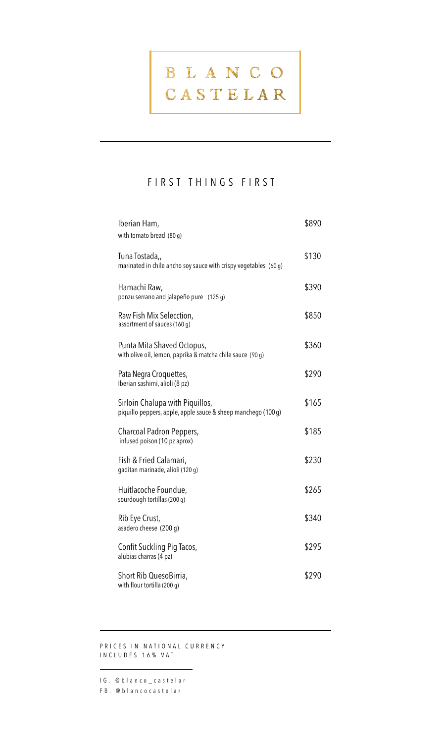#### FIRST THINGS FIRST

| Iberian Ham,<br>with tomato bread $(80 g)$                                                       | \$890 |
|--------------------------------------------------------------------------------------------------|-------|
| Tuna Tostada,,<br>marinated in chile ancho soy sauce with crispy vegetables (60 g)               | \$130 |
| Hamachi Raw,<br>ponzu serrano and jalapeño pure (125 g)                                          | \$390 |
| Raw Fish Mix Selecction,<br>assortment of sauces (160 g)                                         | \$850 |
| Punta Mita Shaved Octopus,<br>with olive oil, lemon, paprika & matcha chile sauce (90 g)         | \$360 |
| Pata Negra Croquettes,<br>Iberian sashimi, alioli (8 pz)                                         | \$290 |
| Sirloin Chalupa with Piquillos,<br>piquillo peppers, apple, apple sauce & sheep manchego (100 g) | \$165 |
| Charcoal Padron Peppers,<br>infused poison (10 pz aprox)                                         | \$185 |
| Fish & Fried Calamari,<br>gaditan marinade, alioli (120 g)                                       | \$230 |
| Huitlacoche Foundue,<br>sourdough tortillas (200 g)                                              | \$265 |
| Rib Eye Crust,<br>asadero cheese (200 q)                                                         | \$340 |
| Confit Suckling Pig Tacos,<br>alubias charras (4 pz)                                             | \$295 |
| Short Rib QuesoBirria,<br>with flour tortilla (200 g)                                            | \$290 |

PRICES IN NATIONAL CURRENCY INCLUDES 16% VAT

IG. @blanco\_castelar FB. @blancocastelar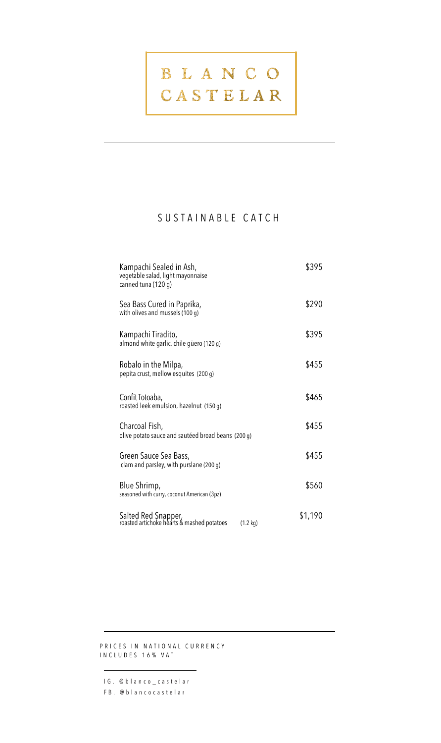# BLANCO

### CASTELAR

### SUSTAINABLE CATCH

| Kampachi Sealed in Ash,<br>vegetable salad, light mayonnaise<br>canned tuna (120 g)     | \$395   |
|-----------------------------------------------------------------------------------------|---------|
| Sea Bass Cured in Paprika,<br>with olives and mussels (100 g)                           | \$290   |
| Kampachi Tiradito,<br>almond white garlic, chile güero (120 g)                          | \$395   |
| Robalo in the Milpa,<br>pepita crust, mellow esquites (200 g)                           | \$455   |
| Confit Totoaba,<br>roasted leek emulsion, hazelnut (150 g)                              | \$465   |
| Charcoal Fish,<br>olive potato sauce and sautéed broad beans (200 g)                    | \$455   |
| Green Sauce Sea Bass,<br>clam and parsley, with purslane (200 g)                        | \$455   |
| Blue Shrimp,<br>seasoned with curry, coconut American (3pz)                             | \$560   |
| Salted Red Snapper,<br>roasted artichoke hearts & mashed potatoes<br>$(1.2 \text{ kg})$ | \$1,190 |

PRICES IN NATIONAL CURRENCY INCLUDES 16% VAT

IG. @blanco\_castelar FB. @blancocastelar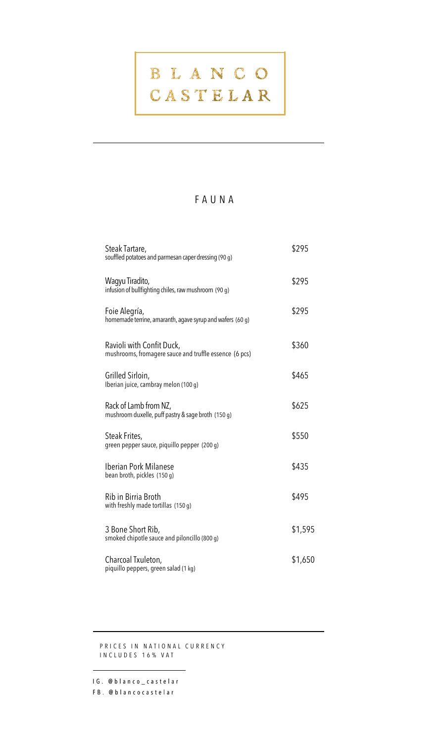#### FAUNA

| Steak Tartare,<br>souffled potatoes and parmesan caper dressing (90 g)              | \$295   |
|-------------------------------------------------------------------------------------|---------|
| Wagyu Tiradito,<br>infusion of bullfighting chiles, raw mushroom (90 g)             | \$295   |
| Foie Alegría,<br>homemade terrine, amaranth, agave syrup and wafers (60 g)          | \$295   |
| Ravioli with Confit Duck,<br>mushrooms, fromagere sauce and truffle essence (6 pcs) | \$360   |
| Grilled Sirloin,<br>Iberian juice, cambray melon (100 g)                            | \$465   |
| Rack of Lamb from NZ,<br>mushroom duxelle, puff pastry & sage broth (150 g)         | \$625   |
| Steak Frites,<br>green pepper sauce, piquillo pepper (200 g)                        | \$550   |
| Iberian Pork Milanese<br>bean broth, pickles (150 g)                                | \$435   |
| Rib in Birria Broth<br>with freshly made tortillas (150 g)                          | \$495   |
| 3 Bone Short Rib,<br>smoked chipotle sauce and piloncillo (800 g)                   | \$1,595 |
| Charcoal Txuleton,<br>piquillo peppers, green salad (1 kg)                          | \$1,650 |

PRICES IN NATIONAL CURRENCY INCLUDES 16% VAT

IG. @blanco\_castelar FB. @blancocastelar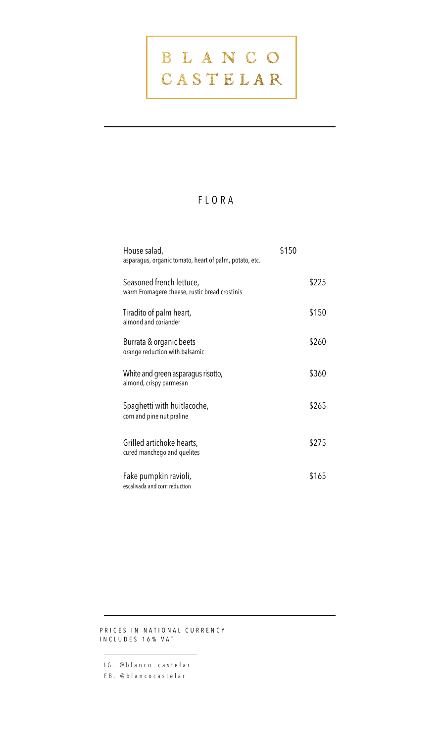#### FLORA

| House salad,<br>asparagus, organic tomato, heart of palm, potato, etc.    | \$150 |       |
|---------------------------------------------------------------------------|-------|-------|
| Seasoned french lettuce,<br>warm Fromagere cheese, rustic bread crostinis |       | \$225 |
| Tiradito of palm heart,<br>almond and coriander                           |       | \$150 |
| Burrata & organic beets<br>orange reduction with balsamic                 |       | \$260 |
| White and green asparagus risotto,<br>almond, crispy parmesan             |       | \$360 |
| Spaghetti with huitlacoche,<br>corn and pine nut praline                  |       | \$265 |
| Grilled artichoke hearts,<br>cured manchego and quelites                  |       | \$275 |
| Fake pumpkin ravioli,<br>escalivada and corn reduction                    |       | \$165 |

PRICES IN NATIONAL CURRENCY INCLUDES 16% VAT

IG. @blanco\_castelar

FB. @blancocastelar